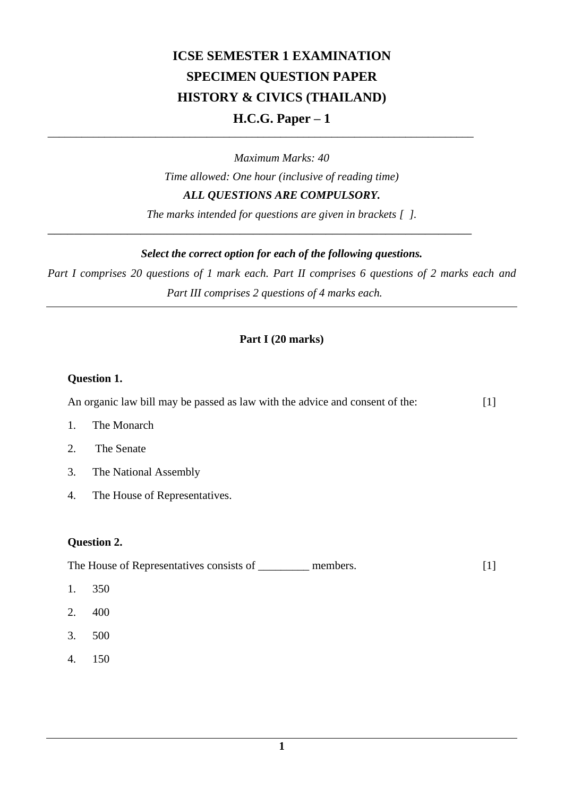# **ICSE SEMESTER 1 EXAMINATION SPECIMEN QUESTION PAPER HISTORY & CIVICS (THAILAND) H.C.G. Paper – 1**

*Maximum Marks: 40 Time allowed: One hour (inclusive of reading time) ALL QUESTIONS ARE COMPULSORY.*

\_\_\_\_\_\_\_\_\_\_\_\_\_\_\_\_\_\_\_\_\_\_\_\_\_\_\_\_\_\_\_\_\_\_\_\_\_\_\_\_\_\_\_\_\_\_\_\_\_\_\_\_\_\_\_\_\_\_\_\_\_\_\_\_\_\_\_\_\_\_\_\_\_\_\_

*\_\_\_\_\_\_\_\_\_\_\_\_\_\_\_\_\_\_\_\_\_\_\_\_\_\_\_\_\_\_\_\_\_\_\_\_\_\_\_\_\_\_\_\_\_\_\_\_\_\_\_\_\_\_\_\_\_\_\_\_\_\_\_\_*

*The marks intended for questions are given in brackets [ ].*

# *Select the correct option for each of the following questions.*

*Part I comprises 20 questions of 1 mark each. Part II comprises 6 questions of 2 marks each and Part III comprises 2 questions of 4 marks each.*

# **Part I (20 marks)**

# **Question 1.**

An organic law bill may be passed as law with the advice and consent of the: [1]

- 1. The Monarch
- 2. The Senate
- 3. The National Assembly
- 4. The House of Representatives.

## **Question 2.**

The House of Representatives consists of \_\_\_\_\_\_\_\_\_ members. [1]

- 1. 350
- 2. 400
- 3. 500
- 4. 150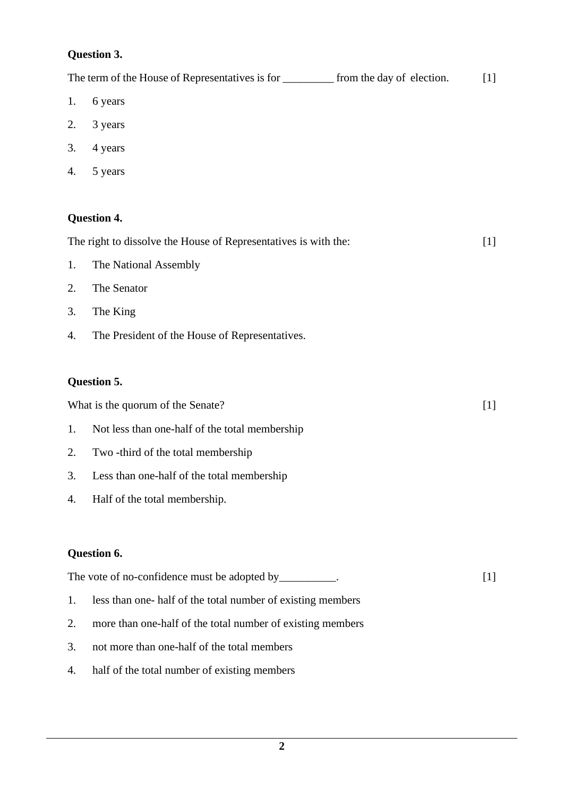# **Question 3.**

|    | The term of the House of Representatives is for ___________ from the day of election. | $[1]$ |
|----|---------------------------------------------------------------------------------------|-------|
| 1. | 6 years                                                                               |       |
| 2. | 3 years                                                                               |       |
| 3. | 4 years                                                                               |       |
| 4. | 5 years                                                                               |       |
|    | <b>Question 4.</b>                                                                    |       |
|    | The right to dissolve the House of Representatives is with the:                       | $[1]$ |
| 1. | The National Assembly                                                                 |       |
| 2. | The Senator                                                                           |       |
| 3. | The King                                                                              |       |
| 4. | The President of the House of Representatives.                                        |       |
|    | Question 5.                                                                           |       |
|    | What is the quorum of the Senate?                                                     | $[1]$ |
| 1. | Not less than one-half of the total membership                                        |       |
| 2. | Two -third of the total membership                                                    |       |
| 3. | Less than one-half of the total membership                                            |       |
| 4. | Half of the total membership.                                                         |       |
|    | Question 6.                                                                           |       |
|    | The vote of no-confidence must be adopted by __________.                              | $[1]$ |
| 1. | less than one- half of the total number of existing members                           |       |
| 2. | more than one-half of the total number of existing members                            |       |
| 3. | not more than one-half of the total members                                           |       |
| 4. | half of the total number of existing members                                          |       |
|    |                                                                                       |       |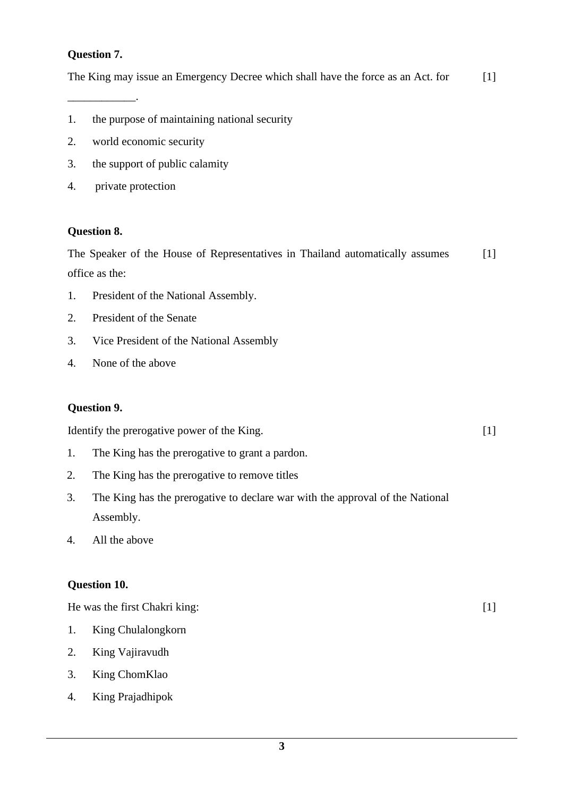## **Question 7.**

\_\_\_\_\_\_\_\_\_\_\_\_.

The King may issue an Emergency Decree which shall have the force as an Act. for [1]

- 1. the purpose of maintaining national security
- 2. world economic security
- 3. the support of public calamity
- 4. private protection

#### **Question 8.**

The Speaker of the House of Representatives in Thailand automatically assumes office as the: [1]

- 1. President of the National Assembly.
- 2. President of the Senate
- 3. Vice President of the National Assembly
- 4. None of the above

## **Question 9.**

Identify the prerogative power of the King.

- 1. The King has the prerogative to grant a pardon.
- 2. The King has the prerogative to remove titles
- 3. The King has the prerogative to declare war with the approval of the National Assembly.
- 4. All the above

#### **Question 10.**

He was the first Chakri king:

- 1. King Chulalongkorn
- 2. King Vajiravudh
- 3. King ChomKlao
- 4. King Prajadhipok

[1]

[1]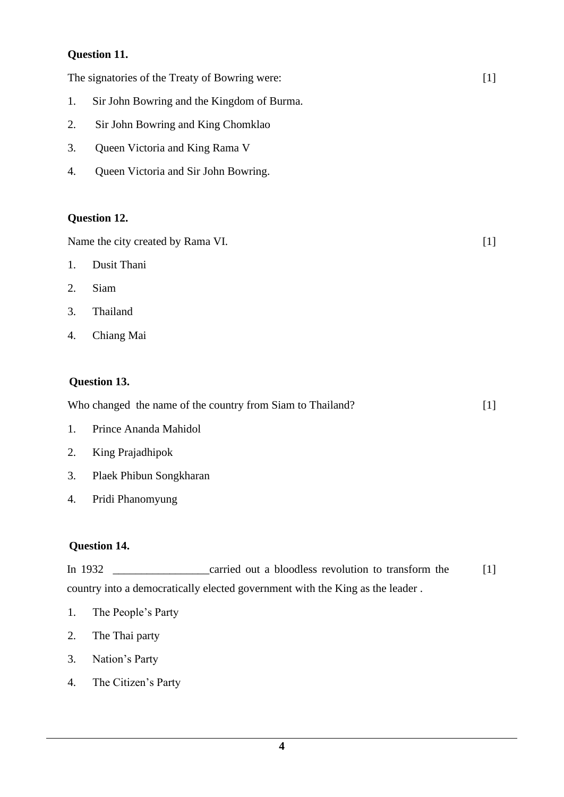# **Question 11.**

The signatories of the Treaty of Bowring were:

- 1. Sir John Bowring and the Kingdom of Burma.
- 2. Sir John Bowring and King Chomklao
- 3. Queen Victoria and King Rama V
- 4. Queen Victoria and Sir John Bowring.

#### **Question 12.**

Name the city created by Rama VI.

- 1. Dusit Thani
- 2. Siam
- 3. Thailand
- 4. Chiang Mai

## **Question 13.**

| Who changed the name of the country from Siam to Thailand? |  |
|------------------------------------------------------------|--|
|                                                            |  |

[1]

[1]

- 1. Prince Ananda Mahidol
- 2. King Prajadhipok
- 3. Plaek Phibun Songkharan
- 4. Pridi Phanomyung

## **Question 14.**

In 1932 **Example 2** carried out a bloodless revolution to transform the country into a democratically elected government with the King as the leader . [1]

- 1. The People's Party
- 2. The Thai party
- 3. Nation's Party
- 4. The Citizen's Party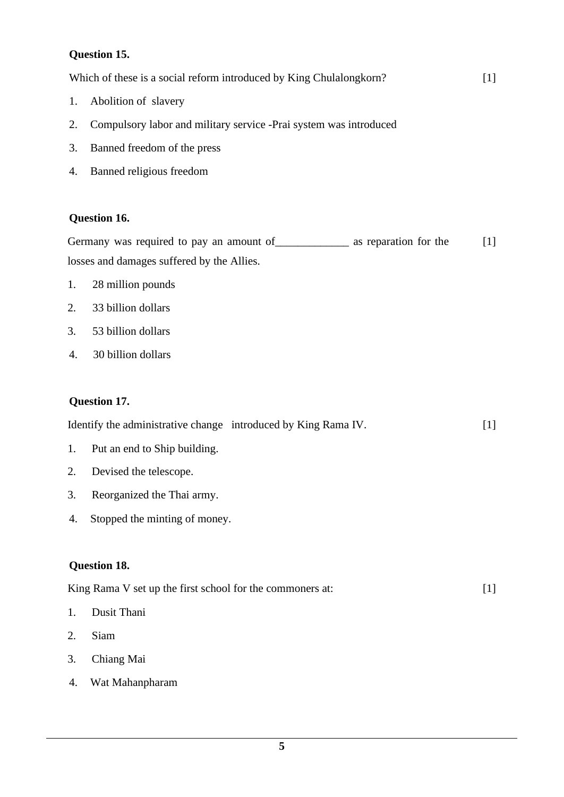# **Question 15.**

| Which of these is a social reform introduced by King Chulalongkorn? |  |
|---------------------------------------------------------------------|--|
|---------------------------------------------------------------------|--|

- 1. Abolition of slavery
- 2. Compulsory labor and military service -Prai system was introduced
- 3. Banned freedom of the press
- 4. Banned religious freedom

#### **Question 16.**

Germany was required to pay an amount of \_\_\_\_\_\_\_\_\_\_\_\_\_\_ as reparation for the losses and damages suffered by the Allies. [1]

- 1. 28 million pounds
- 2. 33 billion dollars
- 3. 53 billion dollars
- 4. 30 billion dollars

## **Question 17.**

|                              | Identify the administrative change introduced by King Rama IV. |  |
|------------------------------|----------------------------------------------------------------|--|
| Put an end to Ship building. |                                                                |  |

- 2. Devised the telescope.
- 3. Reorganized the Thai army.
- 4. Stopped the minting of money.

## **Question 18.**

| King Rama V set up the first school for the commoners at: |  |
|-----------------------------------------------------------|--|
|                                                           |  |

- 1. Dusit Thani
- 2. Siam
- 3. Chiang Mai
- 4. Wat Mahanpharam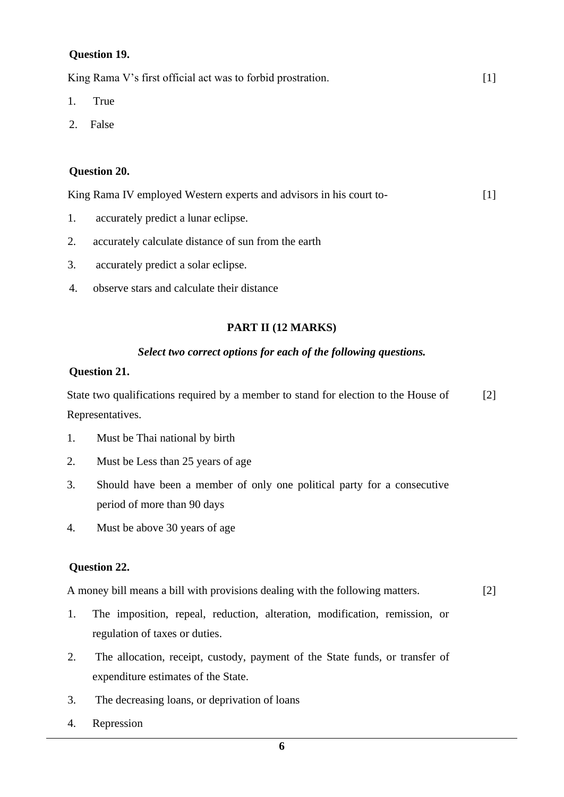## **Question 19.**

King Rama V's first official act was to forbid prostration.  $[1]$ 

- 1. True
- 2. False

# **Question 20.**

King Rama IV employed Western experts and advisors in his court to-[1]

- 1. accurately predict a lunar eclipse.
- 2. accurately calculate distance of sun from the earth
- 3. accurately predict a solar eclipse.
- 4. observe stars and calculate their distance

# **PART II (12 MARKS)**

#### *Select two correct options for each of the following questions.*

## **Question 21.**

State two qualifications required by a member to stand for election to the House of Representatives. [2]

- 1. Must be Thai national by birth
- 2. Must be Less than 25 years of age
- 3. Should have been a member of only one political party for a consecutive period of more than 90 days
- 4. Must be above 30 years of age

# **Question 22.**

1. A money bill means a bill with provisions dealing with the following matters. [2]

- 1. The imposition, repeal, reduction, alteration, modification, remission, or regulation of taxes or duties.
- 2. The allocation, receipt, custody, payment of the State funds, or transfer of expenditure estimates of the State.
- 3. The decreasing loans, or deprivation of loans
- 4. Repression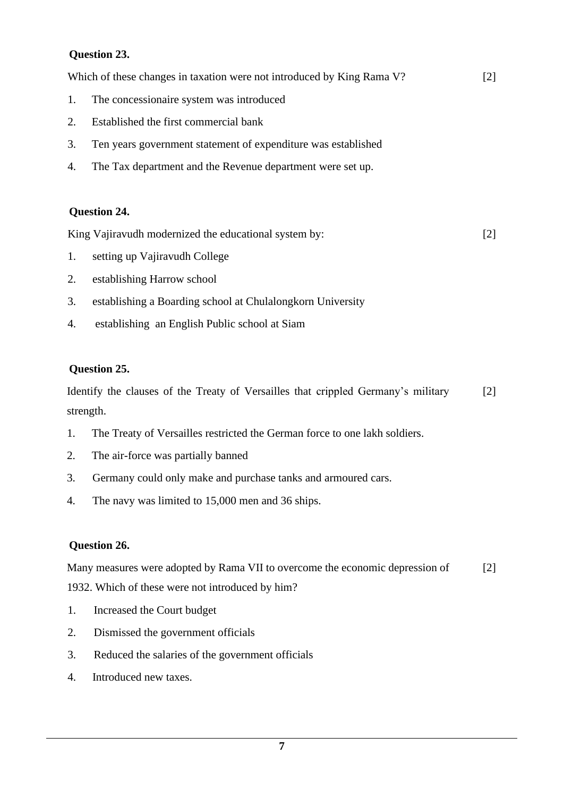# **Question 23.**

Which of these changes in taxation were not introduced by King Rama V?

- 1. The concessionaire system was introduced
- 2. Established the first commercial bank
- 3. Ten years government statement of expenditure was established
- 4. The Tax department and the Revenue department were set up.

## **Question 24.**

King Vajiravudh modernized the educational system by:

[2]

[2]

- 1. setting up Vajiravudh College
- 2. establishing Harrow school
- 3. establishing a Boarding school at Chulalongkorn University
- 4. establishing an English Public school at Siam

## **Question 25.**

Identify the clauses of the Treaty of Versailles that crippled Germany's military strength. [2]

- 1. The Treaty of Versailles restricted the German force to one lakh soldiers.
- 2. The air-force was partially banned
- 3. Germany could only make and purchase tanks and armoured cars.
- 4. The navy was limited to 15,000 men and 36 ships.

## **Question 26.**

Many measures were adopted by Rama VII to overcome the economic depression of [2]

1932. Which of these were not introduced by him?

- 1. Increased the Court budget
- 2. Dismissed the government officials
- 3. Reduced the salaries of the government officials
- 4. Introduced new taxes.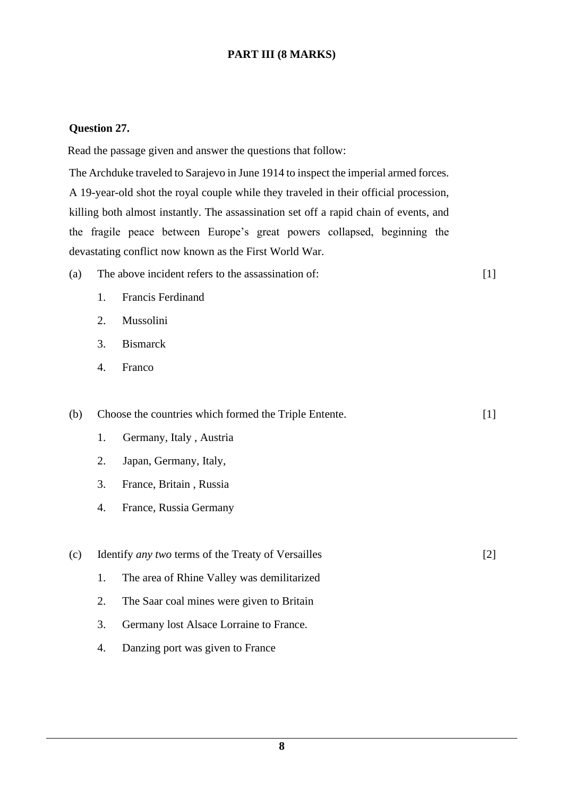# **PART III (8 MARKS)**

#### **Question 27.**

Read the passage given and answer the questions that follow:

The Archduke traveled to Sarajevo in June 1914 to inspect the imperial armed forces. A 19-year-old shot the royal couple while they traveled in their official procession, killing both almost instantly. The assassination set off a rapid chain of events, and the fragile peace between Europe's great powers collapsed, beginning the devastating conflict now known as the First World War.

| (a) | The above incident refers to the assassination of: |  |
|-----|----------------------------------------------------|--|
|-----|----------------------------------------------------|--|

- 1. Francis Ferdinand
- 2. Mussolini
- 3. Bismarck
- 4. Franco

(b) Choose the countries which formed the Triple Entente. 1. Germany, Italy , Austria 2. Japan, Germany, Italy, 3. France, Britain , Russia 4. France, Russia Germany [1] (c) Identify *any two* terms of the Treaty of Versailles 1. The area of Rhine Valley was demilitarized [2]

- 2. The Saar coal mines were given to Britain
- 3. Germany lost Alsace Lorraine to France.
- 4. Danzing port was given to France